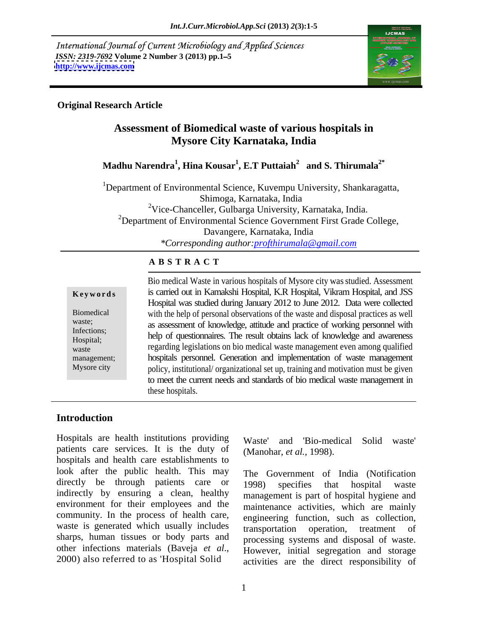International Journal of Current Microbiology and Applied Sciences *ISSN: 2319-7692* **Volume 2 Number 3 (2013) pp.1 5 <http://www.ijcmas.com>**



## **Original Research Article**

## **Assessment of Biomedical waste of various hospitals in Mysore City Karnataka, India**

### **Madhu Narendra<sup>1</sup> , Hina Kousar<sup>1</sup> , E.T Puttaiah<sup>2</sup> and S. Thirumala2\***

<sup>1</sup>Department of Environmental Science, Kuvempu University, Shankaragatta, Shimoga, Karnataka, India 2Vice-Chanceller, Gulbarga University, Karnataka, India. <sup>2</sup>Department of Environmental Science Government First Grade College, Davangere, Karnataka, India *\*Corresponding author:profthirumala@gmail.com*

## **A B S T R A C T**

|                       | Bio medical Waste in various hospitals of Mysore city was studied. Assessment      |  |  |
|-----------------------|------------------------------------------------------------------------------------|--|--|
| Keywords              | is carried out in Kamakshi Hospital, K.R Hospital, Vikram Hospital, and JSS        |  |  |
|                       | Hospital was studied during January 2012 to June 2012. Data were collected         |  |  |
| Biomedical            | with the help of personal observations of the waste and disposal practices as well |  |  |
| waste;<br>Infections; | as assessment of knowledge, attitude and practice of working personnel with        |  |  |
| Hospital;             | help of questionnaires. The result obtains lack of knowledge and awareness         |  |  |
| waste                 | regarding legislations on bio medical waste management even among qualified        |  |  |
| management;           | hospitals personnel. Generation and implementation of waste management             |  |  |
| Mysore city           | policy, institutional/organizational set up, training and motivation must be given |  |  |
|                       | to meet the current needs and standards of bio medical waste management in         |  |  |
|                       | these hospitals                                                                    |  |  |

## **Introduction**

Hospitals are health institutions providing Waste' patients care services. It is the duty of hospitals and health care establishments to look after the public health. This may directly be through patients care or 1998) specifies that hospital waste indirectly by ensuring a clean, healthy environment for their employees and the maintenance activities, which are mainly community. In the process of health care, waste is generated which usually includes sharps, human tissues or body parts and

and 'Bio-medical Solid waste' (Manohar, *et al.,* 1998).

other infections materials (Baveja *et al.*, However, initial segregation and storage 2000) also referred to as 'Hospital Solid activities are the direct responsibility of The Government of India (Notification 1998) specifies that hospital waste management is part of hospital hygiene and engineering function, such as collection, transportation operation, treatment of processing systems and disposal of waste. However, initial segregation and storage activities are the direct responsibility of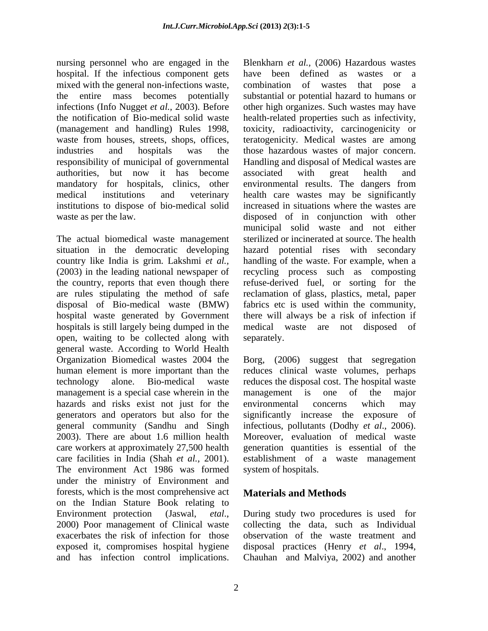nursing personnel who are engaged in the Blenkharn et al., (2006) Hazardous wastes hospital. If the infectious component gets have been defined as wastes or a mixed with the general non-infections waste, combination of wastes that pose a authorities, but now it has become associated with great health and institutions to dispose of bio-medical solid

The actual biomedical waste management situation in the democratic developing hospitals is still largely being dumped in the medical waste are not disposed of open, waiting to be collected along with general waste. According to World Health Organization Biomedical wastes 2004 the Borg, (2006) suggest that segregation human element is more important than the reduces clinical waste volumes, perhaps technology alone. Bio-medical waste reduces the disposal cost. The hospital waste management is a special case wherein in the management is one of the major hazards and risks exist not just for the environmental concerns which may generators and operators but also for the general community (Sandhu and Singh infectious, pollutants (Dodhy et al., 2006). 2003). There are about 1.6 million health care workers at approximately 27,500 health generation quantities is essential of the care facilities in India (Shah *et al.*, 2001). establishment of a waste management<br>The environment Act 1986 was formed system of hospitals. under the ministry of Environment and forests, which is the most comprehensive act on the Indian Stature Book relating to Environment protection (Jaswal, *etal*., During study two procedures is used for 2000) Poor management of Clinical waste collecting the data, such as Individual exacerbates the risk of infection for those observation of the waste treatment and exposed it, compromises hospital hygiene disposal practices (Henry *et al*., 1994, antention is the Become of the Democratic developing by the state of the state of the state of the state of the state of the state of the state of the state of the state of the state of the state of the state of the state

the entire mass becomes potentially substantial or potential hazard to humans or infections (Info Nugget *et al.,* 2003). Before other high organizes. Such wastes may have the notification of Bio-medical solid waste health-related properties such as infectivity, (management and handling) Rules 1998, toxicity, radioactivity, carcinogenicity or waste from houses, streets, shops, offices, teratogenicity. Medical wastes are among industries and hospitals was the those hazardous wastes of major concern. responsibility of municipal of governmental Handling and disposal of Medical wastes are mandatory for hospitals, clinics, other environmental results. The dangers from medical institutions and veterinary health care wastes may be significantly waste as per the law. disposed of in conjunction with other country like India is grim. Lakshmi *et al.,* handling of the waste. For example, when a (2003) in the leading national newspaper of recycling process such as composting the country, reports that even though there refuse-derived fuel, or sorting for the are rules stipulating the method of safe reclamation of glass, plastics, metal, paper disposal of Bio-medical waste (BMW) fabrics etc is used within the community, hospital waste generated by Government there will always be a risk of infection if have been defined as wastes or a combination of wastes that pose a associated with great health and increased in situations where the wastes are municipal solid waste and not either sterilized or incinerated at source. The health hazard potential rises with secondary medical waste are not disposed separately.

> management is one of environmental concerns which may significantly increase the exposure of infectious, pollutants (Dodhy *et al*., 2006). Moreover, evaluation of medical waste establishment of a waste management system of hospitals.

## **Materials and Methods**

During study two procedures is used for collecting the data, such as Individual Chauhan and Malviya, 2002) and another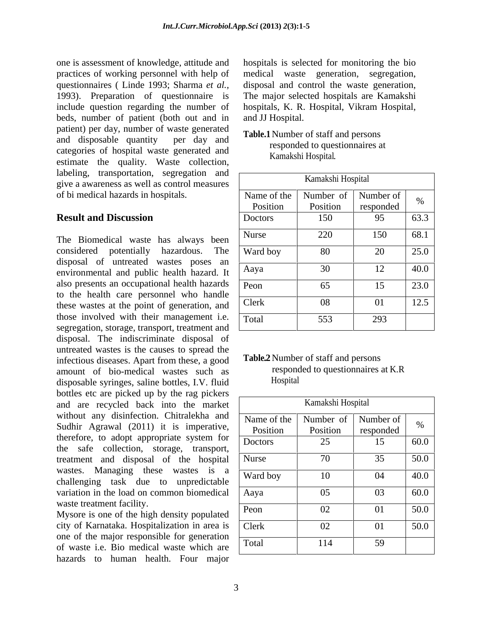one is assessment of knowledge, attitude and practices of working personnel with help of medical waste generation, segregation, questionnaires ( Linde 1993; Sharma *et al.,* disposal and control the waste generation, 1993). Preparation of questionnaire is The major selected hospitals are Kamakshi include question regarding the number of hospitals, K. R. Hospital, Vikram Hospital, beds, number of patient (both out and in patient) per day, number of waste generated and disposable quantity per day and **radical** conservation and persons categories of hospital waste generated and estimate the quality. Waste collection, labeling, transportation, segregation and give a awareness as well as control measures of bi medical hazards in hospitals.

The Biomedical waste has always been considered potentially hazardous. The disposal of untreated wastes poses an environmental and public health hazard. It also presents an occupational health hazards to the health care personnel who handle these wastes at the point of generation, and those involved with their management i.e. segregation, storage, transport, treatment and disposal. The indiscriminate disposal of untreated wastes is the causes to spread the infectious diseases. Apart from these, a good<br>amount of bio-medical wastes such as responded to questionnaires at K.R amount of bio-medical wastes such as responded respondences sating bottles IV fluid disposable syringes, saline bottles, I.V. fluid bottles etc are picked up by the rag pickers and are recycled back into the market without any disinfection. Chitralekha and Sudhir Agrawal (2011) it is imperative, therefore, to adopt appropriate system for the safe collection, storage, transport, treatment and disposal of the hospital wastes. Managing these wastes is a challenging task due to unpredictable variation in the load on common biomedical waste treatment facility.

Mysore is one of the high density populated city of Karnataka. Hospitalization in area is one of the major responsible for generation of waste i.e. Bio medical waste which are hazards to human health. Four major hospitals is selected for monitoring the bio and JJ Hospital.

## **Table.1**Number of staff and persons responded to questionnaires at Kamakshi Hospital.

| labeling, transportation, segregation and <sub>I</sub><br>give a awareness as well as control measures          |                | Kamakshi Hospital                   |           |              |
|-----------------------------------------------------------------------------------------------------------------|----------------|-------------------------------------|-----------|--------------|
| of bi medical hazards in hospitals.                                                                             |                | Name of the   Number of   Number of |           |              |
|                                                                                                                 | Position       | Position                            | responded |              |
| <b>Result and Discussion</b>                                                                                    | <b>Doctors</b> | 150                                 | 95        | 63.3         |
| The Biomedical waste has always been $\vert$ Nurse                                                              |                | 220                                 | 150       | $\vert$ 68.1 |
| considered potentially hazardous. The $\sqrt{\frac{Ward - 6y}{Ward - 6y}}$                                      |                | 80                                  | $\Delta$  | 25.0         |
| disposal of untreated wastes poses an<br>environmental and public health hazard. It                             | Aaya           |                                     | 12        | 40.0         |
| also presents an occupational health hazards Peon                                                               |                | 65                                  | 15        | 23.0         |
| to the health care personnel who handle<br>these wastes at the point of generation, and Clerk                   |                | - 08                                |           | 12.5         |
| those involved with their management i.e. $\boxed{\text{Total}}$<br>segregation storage transport treatment and |                | 553                                 | 293       |              |

## **Table.2**Number of staff and persons responded to questionnaires at K.R Hospital

|                                                   | Kamakshi Hospital    |                                |              |
|---------------------------------------------------|----------------------|--------------------------------|--------------|
| Name of the   Number of   Number of  <br>Position | Position             | responded                      |              |
| Doctors                                           | 25                   | $\sim$ 1 $\sim$<br>1J          | 60.0         |
| Nurse                                             | $\sqrt{2}$<br>- 7 U  | $\sim$ $\sim$<br>$\mathcal{L}$ | 50.0         |
| Ward boy                                          | 10                   | 04                             | $\vert$ 40.0 |
| Aaya                                              | 05                   | 03                             | 60.0         |
| Peon                                              | $\Omega$<br>$U \sim$ | 01                             | 50.0         |
| Clerk                                             | 02                   | 01                             | 50.0         |
| Total                                             | 114                  | 59                             |              |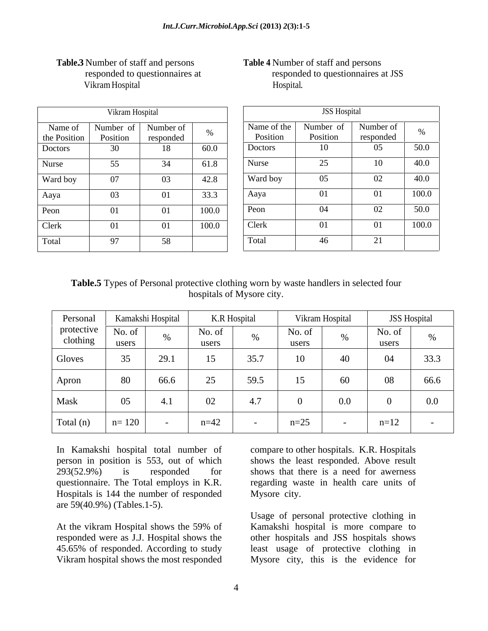|                         | Vikram Hospital       |                        |           |                         | <b>JSS Hospital</b>   |                        |       |
|-------------------------|-----------------------|------------------------|-----------|-------------------------|-----------------------|------------------------|-------|
| Name of<br>the Position | Number of<br>Position | Number of<br>responded | $\Omega'$ | Name of the<br>Position | Number of<br>Position | Number of<br>responded | $\%$  |
| Doctors                 | 30                    | 18                     | 60.0      | Doctors                 | 10                    | 05                     | 50.0  |
| Nurse                   | 55                    | 34                     | 61.8      | Nurse                   | 25                    | 10                     | 40.0  |
| Ward boy                | 07                    | 03                     | 42.8      | Ward boy                | 05                    | 02                     | 40.0  |
| Aaya                    | 03                    | 01                     | 33.3      | Aaya                    | 01                    | 01                     | 100.0 |
| Peon                    | 01                    | 01                     | 100.0     | Peon                    | 04                    | 02                     | 50.0  |
| Clerk                   | 01                    | 01                     | 100.0     | Clerk                   | 01                    | 01                     | 100.0 |
| Total                   | Q7                    | 58                     |           | Total                   | 46                    | 21                     |       |

# VikramHospital

## **Table.3** Number of staff and persons **Table 4** Number of staff and persons responded to questionnaires at responded to questionnaires at JSS Hospital.

|                        |       |                         | <b>JSS Hospital</b>   |                 |       |
|------------------------|-------|-------------------------|-----------------------|-----------------|-------|
| Number of<br>responded |       | Name of the<br>Position | Number of<br>Position | Number of       |       |
|                        |       |                         |                       | responded<br>05 | 50.0  |
| 18                     | 60.0  | Doctors                 |                       |                 |       |
| 34                     | 61.8  | Nurse                   |                       | $\overline{10}$ | 40.0  |
| 03                     | 42.8  | Ward boy                |                       | 02              | 40.0  |
| - 01                   | 33.3  | Aaya                    |                       | 01              | 100.0 |
| 01                     | 100.0 | Peon                    | 04                    | 02              | 50.0  |
| 01                     | 100.0 | <b>Clerk</b>            |                       | - 01            | 100.0 |
| 58                     |       | Total                   |                       |                 |       |

**Table.5** Types of Personal protective clothing worn by waste handlers in selected four hospitals of Mysore city.

| Personal                                 | Kamakshi Hospital |      | K.R Hospital    |      | Vikram Hospital |         | <b>JSS Hospital</b> |            |
|------------------------------------------|-------------------|------|-----------------|------|-----------------|---------|---------------------|------------|
| protective<br>clothing                   | No. of<br>users   |      | No. of<br>users |      | No. of<br>users |         | No. of<br>users     |            |
| Gloves                                   | ັບປ               | 29.1 |                 | 35.7 |                 | -40     | 04                  | 33.3       |
| Apron                                    | 80                | 66.6 | ے کے            | 59.5 |                 | 60      | 08                  | 66.6       |
| Mask                                     | $\sim$ $-$        | 4.1  | 02              | 4.1  |                 | $0.0\,$ |                     | $0.0\,$    |
| $\vert$ Total (n) $\vert$ n= 120 $\vert$ |                   |      | $n = 42$        |      | $n=25$          |         | $n=12$              | $\sim$ $-$ |

In Kamakshi hospital total number of compare to other hospitals. K.R. Hospitals person in position is 553, out of which shows the least responded. Above result 293(52.9%) is responded for shows that there is a need for awerness questionnaire. The Total employs in K.R. regarding waste in health care units of Hospitals is 144 the number of responded are 59(40.9%) (Tables.1-5).

At the vikram Hospital shows the 59% of Kamakshi hospital is more compare to responded were as J.J. Hospital shows the other hospitals and JSS hospitals shows 45.65% of responded. According to study least usage of protective clothing in Vikram hospital shows the most responded Mysore city, this is the evidence for

Mysore city.

Usage of personal protective clothing in Kamakshi hospital is more compare to